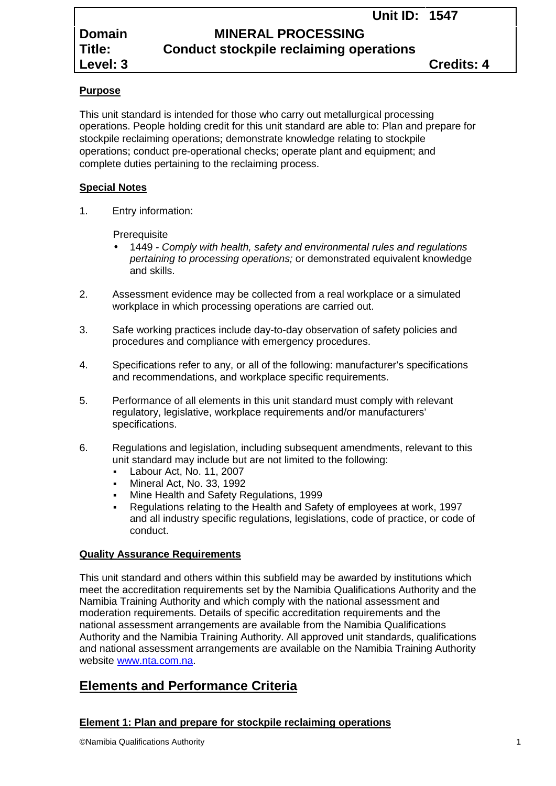# **Domain MINERAL PROCESSING Title: Conduct stockpile reclaiming operations**

# **Purpose**

This unit standard is intended for those who carry out metallurgical processing operations. People holding credit for this unit standard are able to: Plan and prepare for stockpile reclaiming operations; demonstrate knowledge relating to stockpile operations; conduct pre-operational checks; operate plant and equipment; and complete duties pertaining to the reclaiming process.

# **Special Notes**

1. Entry information:

**Prerequisite** 

- 1449 *- Comply with health, safety and environmental rules and regulations pertaining to processing operations;* or demonstrated equivalent knowledge and skills.
- 2. Assessment evidence may be collected from a real workplace or a simulated workplace in which processing operations are carried out.
- 3. Safe working practices include day-to-day observation of safety policies and procedures and compliance with emergency procedures.
- 4. Specifications refer to any, or all of the following: manufacturer's specifications and recommendations, and workplace specific requirements.
- 5. Performance of all elements in this unit standard must comply with relevant regulatory, legislative, workplace requirements and/or manufacturers' specifications.
- 6. Regulations and legislation, including subsequent amendments, relevant to this unit standard may include but are not limited to the following:
	- Labour Act, No. 11, 2007
	- Mineral Act, No. 33, 1992
	- Mine Health and Safety Regulations, 1999
	- Regulations relating to the Health and Safety of employees at work, 1997 and all industry specific regulations, legislations, code of practice, or code of conduct.

# **Quality Assurance Requirements**

This unit standard and others within this subfield may be awarded by institutions which meet the accreditation requirements set by the Namibia Qualifications Authority and the Namibia Training Authority and which comply with the national assessment and moderation requirements. Details of specific accreditation requirements and the national assessment arrangements are available from the Namibia Qualifications Authority and the Namibia Training Authority. All approved unit standards, qualifications and national assessment arrangements are available on the Namibia Training Authority website www.nta.com.na.

# **Elements and Performance Criteria**

# **Element 1: Plan and prepare for stockpile reclaiming operations**

©Namibia Qualifications Authority 1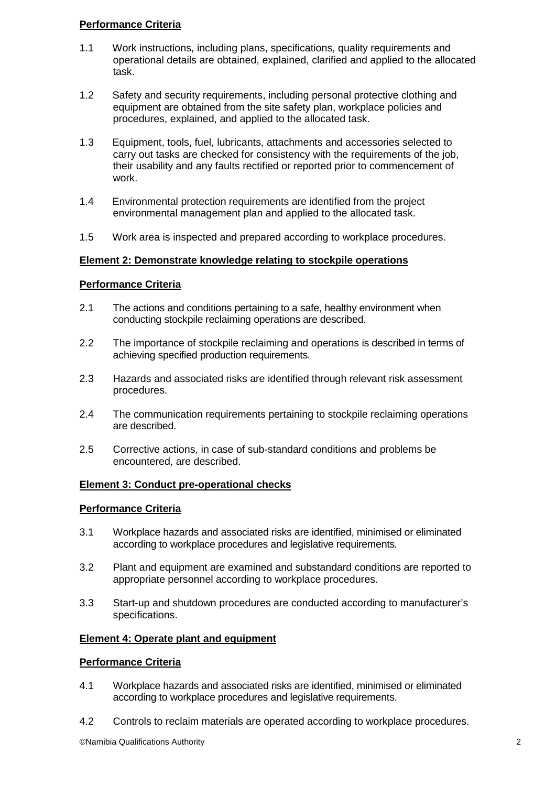## **Performance Criteria**

- 1.1 Work instructions, including plans, specifications, quality requirements and operational details are obtained, explained, clarified and applied to the allocated task.
- 1.2 Safety and security requirements, including personal protective clothing and equipment are obtained from the site safety plan, workplace policies and procedures, explained, and applied to the allocated task.
- 1.3 Equipment, tools, fuel, lubricants, attachments and accessories selected to carry out tasks are checked for consistency with the requirements of the job, their usability and any faults rectified or reported prior to commencement of work.
- 1.4 Environmental protection requirements are identified from the project environmental management plan and applied to the allocated task.
- 1.5 Work area is inspected and prepared according to workplace procedures.

## **Element 2: Demonstrate knowledge relating to stockpile operations**

#### **Performance Criteria**

- 2.1 The actions and conditions pertaining to a safe, healthy environment when conducting stockpile reclaiming operations are described.
- 2.2 The importance of stockpile reclaiming and operations is described in terms of achieving specified production requirements.
- 2.3 Hazards and associated risks are identified through relevant risk assessment procedures.
- 2.4 The communication requirements pertaining to stockpile reclaiming operations are described.
- 2.5 Corrective actions, in case of sub-standard conditions and problems be encountered, are described.

#### **Element 3: Conduct pre-operational checks**

#### **Performance Criteria**

- 3.1 Workplace hazards and associated risks are identified, minimised or eliminated according to workplace procedures and legislative requirements.
- 3.2 Plant and equipment are examined and substandard conditions are reported to appropriate personnel according to workplace procedures.
- 3.3 Start-up and shutdown procedures are conducted according to manufacturer's specifications.

## **Element 4: Operate plant and equipment**

#### **Performance Criteria**

- 4.1 Workplace hazards and associated risks are identified, minimised or eliminated according to workplace procedures and legislative requirements.
- 4.2 Controls to reclaim materials are operated according to workplace procedures.